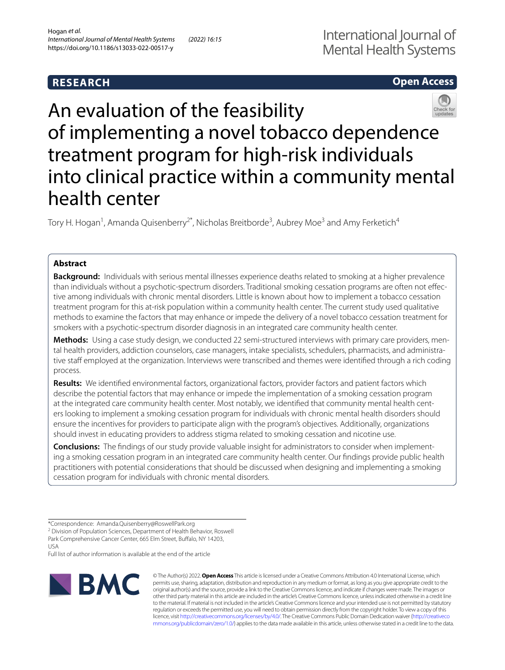# **Open Access**



# An evaluation of the feasibility of implementing a novel tobacco dependence treatment program for high-risk individuals into clinical practice within a community mental health center

Tory H. Hogan<sup>1</sup>, Amanda Quisenberry<sup>2\*</sup>, Nicholas Breitborde<sup>3</sup>, Aubrey Moe<sup>3</sup> and Amy Ferketich<sup>4</sup>

# **Abstract**

**Background:** Individuals with serious mental illnesses experience deaths related to smoking at a higher prevalence than individuals without a psychotic-spectrum disorders. Traditional smoking cessation programs are often not efective among individuals with chronic mental disorders. Little is known about how to implement a tobacco cessation treatment program for this at-risk population within a community health center. The current study used qualitative methods to examine the factors that may enhance or impede the delivery of a novel tobacco cessation treatment for smokers with a psychotic-spectrum disorder diagnosis in an integrated care community health center.

**Methods:** Using a case study design, we conducted 22 semi-structured interviews with primary care providers, mental health providers, addiction counselors, case managers, intake specialists, schedulers, pharmacists, and administrative staff employed at the organization. Interviews were transcribed and themes were identified through a rich coding process.

**Results:** We identifed environmental factors, organizational factors, provider factors and patient factors which describe the potential factors that may enhance or impede the implementation of a smoking cessation program at the integrated care community health center. Most notably, we identifed that community mental health centers looking to implement a smoking cessation program for individuals with chronic mental health disorders should ensure the incentives for providers to participate align with the program's objectives. Additionally, organizations should invest in educating providers to address stigma related to smoking cessation and nicotine use.

**Conclusions:** The fndings of our study provide valuable insight for administrators to consider when implementing a smoking cessation program in an integrated care community health center. Our fndings provide public health practitioners with potential considerations that should be discussed when designing and implementing a smoking cessation program for individuals with chronic mental disorders.

Full list of author information is available at the end of the article



© The Author(s) 2022. **Open Access** This article is licensed under a Creative Commons Attribution 4.0 International License, which permits use, sharing, adaptation, distribution and reproduction in any medium or format, as long as you give appropriate credit to the original author(s) and the source, provide a link to the Creative Commons licence, and indicate if changes were made. The images or other third party material in this article are included in the article's Creative Commons licence, unless indicated otherwise in a credit line to the material. If material is not included in the article's Creative Commons licence and your intended use is not permitted by statutory regulation or exceeds the permitted use, you will need to obtain permission directly from the copyright holder. To view a copy of this licence, visit [http://creativecommons.org/licenses/by/4.0/.](http://creativecommons.org/licenses/by/4.0/) The Creative Commons Public Domain Dedication waiver ([http://creativeco](http://creativecommons.org/publicdomain/zero/1.0/) [mmons.org/publicdomain/zero/1.0/](http://creativecommons.org/publicdomain/zero/1.0/)) applies to the data made available in this article, unless otherwise stated in a credit line to the data.

<sup>\*</sup>Correspondence: Amanda.Quisenberry@RoswellPark.org

<sup>&</sup>lt;sup>2</sup> Division of Population Sciences, Department of Health Behavior, Roswell Park Comprehensive Cancer Center, 665 Elm Street, Buffalo, NY 14203, USA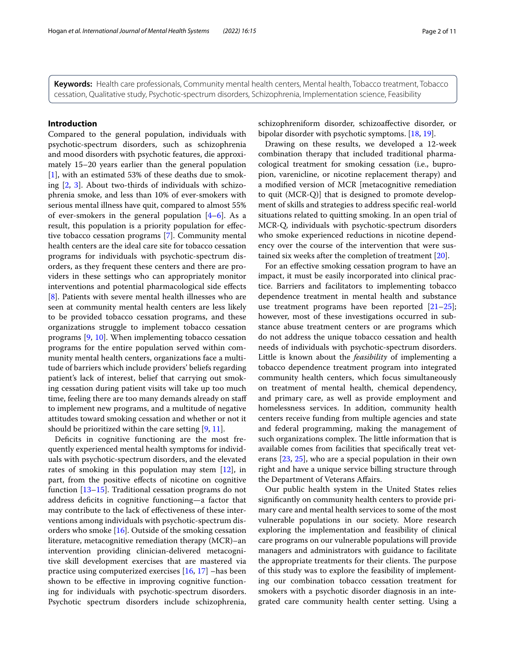**Keywords:** Health care professionals, Community mental health centers, Mental health, Tobacco treatment, Tobacco cessation, Qualitative study, Psychotic-spectrum disorders, Schizophrenia, Implementation science, Feasibility

# **Introduction**

Compared to the general population, individuals with psychotic-spectrum disorders, such as schizophrenia and mood disorders with psychotic features, die approximately 15–20 years earlier than the general population [[1\]](#page-9-0), with an estimated 53% of these deaths due to smoking [[2](#page-9-1), [3](#page-9-2)]. About two-thirds of individuals with schizophrenia smoke, and less than 10% of ever-smokers with serious mental illness have quit, compared to almost 55% of ever-smokers in the general population  $[4-6]$  $[4-6]$  $[4-6]$ . As a result, this population is a priority population for efective tobacco cessation programs [\[7\]](#page-9-5). Community mental health centers are the ideal care site for tobacco cessation programs for individuals with psychotic-spectrum disorders, as they frequent these centers and there are providers in these settings who can appropriately monitor interventions and potential pharmacological side efects [[8\]](#page-9-6). Patients with severe mental health illnesses who are seen at community mental health centers are less likely to be provided tobacco cessation programs, and these organizations struggle to implement tobacco cessation programs [[9,](#page-9-7) [10\]](#page-9-8). When implementing tobacco cessation programs for the entire population served within community mental health centers, organizations face a multitude of barriers which include providers' beliefs regarding patient's lack of interest, belief that carrying out smoking cessation during patient visits will take up too much time, feeling there are too many demands already on staf to implement new programs, and a multitude of negative attitudes toward smoking cessation and whether or not it should be prioritized within the care setting [[9,](#page-9-7) [11](#page-9-9)].

Deficits in cognitive functioning are the most frequently experienced mental health symptoms for individuals with psychotic-spectrum disorders, and the elevated rates of smoking in this population may stem [[12\]](#page-9-10), in part, from the positive efects of nicotine on cognitive function [[13–](#page-9-11)[15](#page-9-12)]. Traditional cessation programs do not address deficits in cognitive functioning-a factor that may contribute to the lack of efectiveness of these interventions among individuals with psychotic-spectrum disorders who smoke  $[16]$  $[16]$ . Outside of the smoking cessation literature, metacognitive remediation therapy (MCR)–an intervention providing clinician-delivered metacognitive skill development exercises that are mastered via practice using computerized exercises [\[16,](#page-9-13) [17\]](#page-9-14) –has been shown to be efective in improving cognitive functioning for individuals with psychotic-spectrum disorders. Psychotic spectrum disorders include schizophrenia, schizophreniform disorder, schizoafective disorder, or bipolar disorder with psychotic symptoms. [[18,](#page-9-15) [19\]](#page-9-16).

Drawing on these results, we developed a 12-week combination therapy that included traditional pharmacological treatment for smoking cessation (i.e., bupropion, varenicline, or nicotine replacement therapy) and a modifed version of MCR [metacognitive remediation to quit (MCR-Q)] that is designed to promote development of skills and strategies to address specifc real-world situations related to quitting smoking. In an open trial of MCR-Q, individuals with psychotic-spectrum disorders who smoke experienced reductions in nicotine dependency over the course of the intervention that were sustained six weeks after the completion of treatment [\[20\]](#page-9-17).

For an efective smoking cessation program to have an impact, it must be easily incorporated into clinical practice. Barriers and facilitators to implementing tobacco dependence treatment in mental health and substance use treatment programs have been reported  $[21-25]$  $[21-25]$  $[21-25]$ ; however, most of these investigations occurred in substance abuse treatment centers or are programs which do not address the unique tobacco cessation and health needs of individuals with psychotic-spectrum disorders. Little is known about the *feasibility* of implementing a tobacco dependence treatment program into integrated community health centers, which focus simultaneously on treatment of mental health, chemical dependency, and primary care, as well as provide employment and homelessness services. In addition, community health centers receive funding from multiple agencies and state and federal programming, making the management of such organizations complex. The little information that is available comes from facilities that specifcally treat veterans [[23,](#page-9-20) [25\]](#page-9-19), who are a special population in their own right and have a unique service billing structure through the Department of Veterans Afairs.

Our public health system in the United States relies signifcantly on community health centers to provide primary care and mental health services to some of the most vulnerable populations in our society. More research exploring the implementation and feasibility of clinical care programs on our vulnerable populations will provide managers and administrators with guidance to facilitate the appropriate treatments for their clients. The purpose of this study was to explore the feasibility of implementing our combination tobacco cessation treatment for smokers with a psychotic disorder diagnosis in an integrated care community health center setting. Using a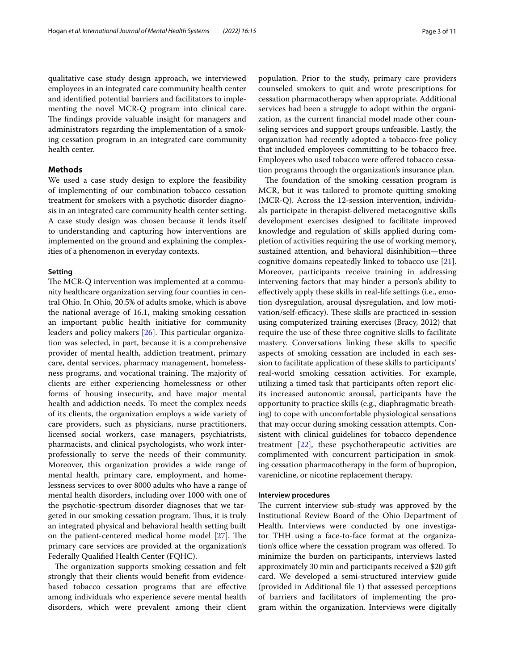qualitative case study design approach, we interviewed employees in an integrated care community health center and identifed potential barriers and facilitators to implementing the novel MCR-Q program into clinical care. The findings provide valuable insight for managers and administrators regarding the implementation of a smoking cessation program in an integrated care community health center.

# **Methods**

We used a case study design to explore the feasibility of implementing of our combination tobacco cessation treatment for smokers with a psychotic disorder diagnosis in an integrated care community health center setting. A case study design was chosen because it lends itself to understanding and capturing how interventions are implemented on the ground and explaining the complexities of a phenomenon in everyday contexts.

# **Setting**

The MCR-Q intervention was implemented at a community healthcare organization serving four counties in central Ohio. In Ohio, 20.5% of adults smoke, which is above the national average of 16.1, making smoking cessation an important public health initiative for community leaders and policy makers  $[26]$ . This particular organization was selected, in part, because it is a comprehensive provider of mental health, addiction treatment, primary care, dental services, pharmacy management, homelessness programs, and vocational training. The majority of clients are either experiencing homelessness or other forms of housing insecurity, and have major mental health and addiction needs. To meet the complex needs of its clients, the organization employs a wide variety of care providers, such as physicians, nurse practitioners, licensed social workers, case managers, psychiatrists, pharmacists, and clinical psychologists, who work interprofessionally to serve the needs of their community. Moreover, this organization provides a wide range of mental health, primary care, employment, and homelessness services to over 8000 adults who have a range of mental health disorders, including over 1000 with one of the psychotic-spectrum disorder diagnoses that we targeted in our smoking cessation program. Thus, it is truly an integrated physical and behavioral health setting built on the patient-centered medical home model  $[27]$  $[27]$ . The primary care services are provided at the organization's Federally Qualifed Health Center (FQHC).

The organization supports smoking cessation and felt strongly that their clients would beneft from evidencebased tobacco cessation programs that are efective among individuals who experience severe mental health disorders, which were prevalent among their client population. Prior to the study, primary care providers counseled smokers to quit and wrote prescriptions for cessation pharmacotherapy when appropriate. Additional services had been a struggle to adopt within the organization, as the current fnancial model made other counseling services and support groups unfeasible. Lastly, the organization had recently adopted a tobacco-free policy that included employees committing to be tobacco free. Employees who used tobacco were offered tobacco cessation programs through the organization's insurance plan.

The foundation of the smoking cessation program is MCR, but it was tailored to promote quitting smoking (MCR-Q). Across the 12-session intervention, individuals participate in therapist-delivered metacognitive skills development exercises designed to facilitate improved knowledge and regulation of skills applied during completion of activities requiring the use of working memory, sustained attention, and behavioral disinhibition—three cognitive domains repeatedly linked to tobacco use [\[21](#page-9-18)]. Moreover, participants receive training in addressing intervening factors that may hinder a person's ability to efectively apply these skills in real-life settings (i.e., emotion dysregulation, arousal dysregulation, and low motivation/self-efficacy). These skills are practiced in-session using computerized training exercises (Bracy, 2012) that require the use of these three cognitive skills to facilitate mastery. Conversations linking these skills to specifc aspects of smoking cessation are included in each session to facilitate application of these skills to participants' real-world smoking cessation activities. For example, utilizing a timed task that participants often report elicits increased autonomic arousal, participants have the opportunity to practice skills (e.g., diaphragmatic breathing) to cope with uncomfortable physiological sensations that may occur during smoking cessation attempts. Consistent with clinical guidelines for tobacco dependence treatment [\[22](#page-9-23)], these psychotherapeutic activities are complimented with concurrent participation in smoking cessation pharmacotherapy in the form of bupropion, varenicline, or nicotine replacement therapy.

## **Interview procedures**

The current interview sub-study was approved by the Institutional Review Board of the Ohio Department of Health. Interviews were conducted by one investigator THH using a face-to-face format at the organization's office where the cessation program was offered. To minimize the burden on participants, interviews lasted approximately 30 min and participants received a \$20 gift card. We developed a semi-structured interview guide (provided in Additional fle [1\)](#page-8-0) that assessed perceptions of barriers and facilitators of implementing the program within the organization. Interviews were digitally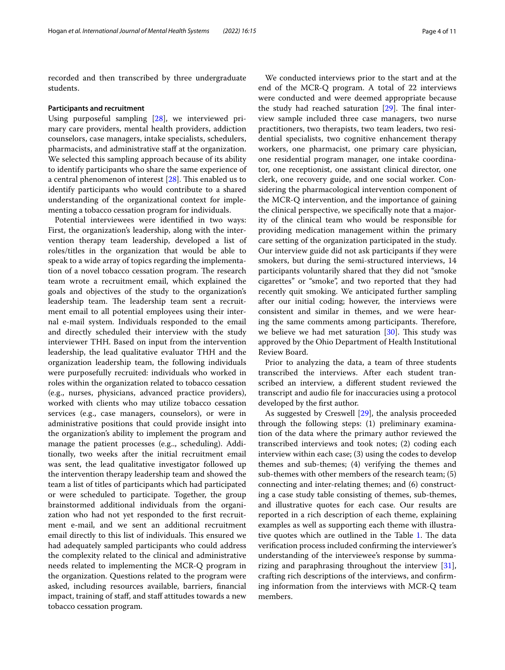recorded and then transcribed by three undergraduate students.

#### **Participants and recruitment**

Using purposeful sampling [[28](#page-9-24)], we interviewed primary care providers, mental health providers, addiction counselors, case managers, intake specialists, schedulers, pharmacists, and administrative staf at the organization. We selected this sampling approach because of its ability to identify participants who share the same experience of a central phenomenon of interest  $[28]$  $[28]$ . This enabled us to identify participants who would contribute to a shared understanding of the organizational context for implementing a tobacco cessation program for individuals.

Potential interviewees were identifed in two ways: First, the organization's leadership, along with the intervention therapy team leadership, developed a list of roles/titles in the organization that would be able to speak to a wide array of topics regarding the implementation of a novel tobacco cessation program. The research team wrote a recruitment email, which explained the goals and objectives of the study to the organization's leadership team. The leadership team sent a recruitment email to all potential employees using their internal e-mail system. Individuals responded to the email and directly scheduled their interview with the study interviewer THH. Based on input from the intervention leadership, the lead qualitative evaluator THH and the organization leadership team, the following individuals were purposefully recruited: individuals who worked in roles within the organization related to tobacco cessation (e.g., nurses, physicians, advanced practice providers), worked with clients who may utilize tobacco cessation services (e.g., case managers, counselors), or were in administrative positions that could provide insight into the organization's ability to implement the program and manage the patient processes (e.g.., scheduling). Additionally, two weeks after the initial recruitment email was sent, the lead qualitative investigator followed up the intervention therapy leadership team and showed the team a list of titles of participants which had participated or were scheduled to participate. Together, the group brainstormed additional individuals from the organization who had not yet responded to the frst recruitment e-mail, and we sent an additional recruitment email directly to this list of individuals. This ensured we had adequately sampled participants who could address the complexity related to the clinical and administrative needs related to implementing the MCR-Q program in the organization. Questions related to the program were asked, including resources available, barriers, fnancial impact, training of staff, and staff attitudes towards a new tobacco cessation program.

We conducted interviews prior to the start and at the end of the MCR-Q program. A total of 22 interviews were conducted and were deemed appropriate because the study had reached saturation  $[29]$ . The final interview sample included three case managers, two nurse practitioners, two therapists, two team leaders, two residential specialists, two cognitive enhancement therapy workers, one pharmacist, one primary care physician, one residential program manager, one intake coordinator, one receptionist, one assistant clinical director, one clerk, one recovery guide, and one social worker. Considering the pharmacological intervention component of the MCR-Q intervention, and the importance of gaining the clinical perspective, we specifcally note that a majority of the clinical team who would be responsible for providing medication management within the primary care setting of the organization participated in the study. Our interview guide did not ask participants if they were smokers, but during the semi-structured interviews, 14 participants voluntarily shared that they did not "smoke cigarettes" or "smoke", and two reported that they had recently quit smoking. We anticipated further sampling after our initial coding; however, the interviews were consistent and similar in themes, and we were hearing the same comments among participants. Therefore, we believe we had met saturation  $[30]$ . This study was approved by the Ohio Department of Health Institutional Review Board.

Prior to analyzing the data, a team of three students transcribed the interviews. After each student transcribed an interview, a diferent student reviewed the transcript and audio fle for inaccuracies using a protocol developed by the frst author.

As suggested by Creswell [\[29](#page-9-25)], the analysis proceeded through the following steps: (1) preliminary examination of the data where the primary author reviewed the transcribed interviews and took notes; (2) coding each interview within each case; (3) using the codes to develop themes and sub-themes; (4) verifying the themes and sub-themes with other members of the research team; (5) connecting and inter-relating themes; and (6) constructing a case study table consisting of themes, sub-themes, and illustrative quotes for each case. Our results are reported in a rich description of each theme, explaining examples as well as supporting each theme with illustra-tive quotes which are outlined in the Table [1](#page-4-0). The data verifcation process included confrming the interviewer's understanding of the interviewee's response by summarizing and paraphrasing throughout the interview [\[31](#page-9-27)], crafting rich descriptions of the interviews, and confrming information from the interviews with MCR-Q team members.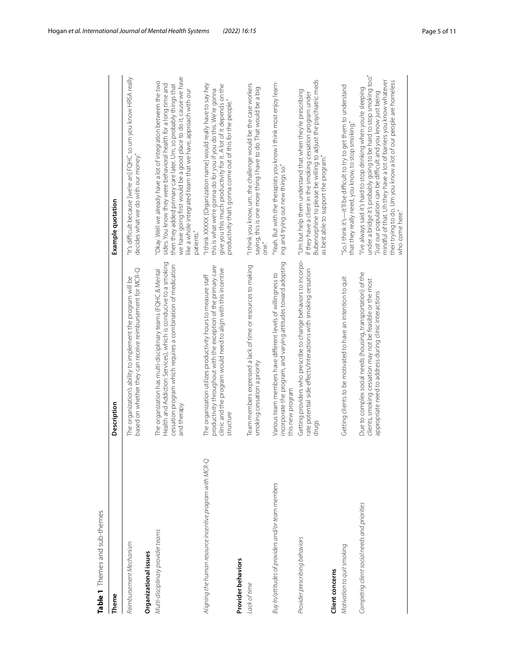<span id="page-4-0"></span>

| J |
|---|
|   |
|   |
| l |
|   |
| í |
|   |
|   |
|   |
| i |
|   |
| Ï |
|   |
|   |
| l |
|   |
|   |
|   |
|   |
|   |
|   |

| Table 1 Themes and sub-themes                            |                                                                                                                                                                                                                |                                                                                                                                                                                                                                                                                                                                                                     |
|----------------------------------------------------------|----------------------------------------------------------------------------------------------------------------------------------------------------------------------------------------------------------------|---------------------------------------------------------------------------------------------------------------------------------------------------------------------------------------------------------------------------------------------------------------------------------------------------------------------------------------------------------------------|
| Theme                                                    | Description                                                                                                                                                                                                    | Example quotation                                                                                                                                                                                                                                                                                                                                                   |
| Reimbursement Mechanism                                  | based on whether they can receive reimbursement for MCR-Q<br>The organization's ability to implement the program will be                                                                                       | 'It's difficult because [we're an] FQHC so um you know HRSA really<br>decides what we do with our money."                                                                                                                                                                                                                                                           |
| Organizational issues                                    |                                                                                                                                                                                                                |                                                                                                                                                                                                                                                                                                                                                                     |
| Multi-disciplinary provider teams                        | Health and Addiction Services), which is conducive to a smoking<br>cessation program which requires a combination of medication<br>The organization has multi-disciplinary teams (FQHC & Mental<br>and therapy | we have going first would be a good place to do it, cause we have<br>'Okay. Well we already have a lot of integration between the two<br>sides. You know they were behavioral health for a long time and<br>then they added primary care later. Um, so probably things that<br>ike a whole integrated team that we have, approach with our<br>patients."            |
| Aligning the human resource incentive program with MCR-Q | productivity throughout with the exception of the primary care<br>clinic and the program would need to align with this incentive<br>The organization utilizes productivity hours to measure staff<br>structure | "I think XXXXX [Organization name] would really have to say hey<br>give you this much productivity for it. A lot of it depends on the<br>this is what we're gonna do for you if you do this. We're gonna<br>productivity that's gonna come out of this for the people."                                                                                             |
| Provider behaviors                                       |                                                                                                                                                                                                                |                                                                                                                                                                                                                                                                                                                                                                     |
| Lack of time                                             | Team members expressed a lack of time or resources to making<br>smoking cessation a priority                                                                                                                   | "I think you know, um, the challenge would be the case workers<br>saying, this is one more thing I have to do. That would be a big<br>one."                                                                                                                                                                                                                         |
| Buy In/attitudes of providers and/or team members        | incorporate the program, and varying attitudes toward adopting<br>Various team members have different levels of willingness to<br>this new program                                                             | "Yeah. But with the therapists you know I think most enjoy learn-<br>ing and trying out new things so."                                                                                                                                                                                                                                                             |
| Provider prescribing behaviors                           | Getting providers who prescribe to change behaviors to incorpo-<br>rate potential side effects/interactions with smoking cessation<br>drugs                                                                    | Bubenorphine to please be willing to adjust the psychiatric meds<br>"Um but help them understand that when they're prescribing<br>if they have a client in the smoking cessation program under<br>as best able to support the program."                                                                                                                             |
| Client concerns                                          |                                                                                                                                                                                                                |                                                                                                                                                                                                                                                                                                                                                                     |
| Motivation to quit smoking                               | Getting clients to be motivated to have an intention to quit                                                                                                                                                   | "So, I think it's-it'll be difficult to try to get them to understand<br>that they really need, you know, to stop smoking."                                                                                                                                                                                                                                         |
| Competing client social needs and priorities             | Due to complex social needs (housing, transportation) of the<br>clients, smoking cessation may not be feasible or the most<br>appropriate need to address during clinic interactions                           | under a bridge it's probably going to be hard to stop smoking too."<br>mindful of that. Uh they have a lot of barriers you know whatever<br>their trying to do. Um you know a lot of our people are homeless<br>"I've always said it's hard to stop drinking when you're sleeping<br>Just our population can be difficult and you know just being<br>who come here" |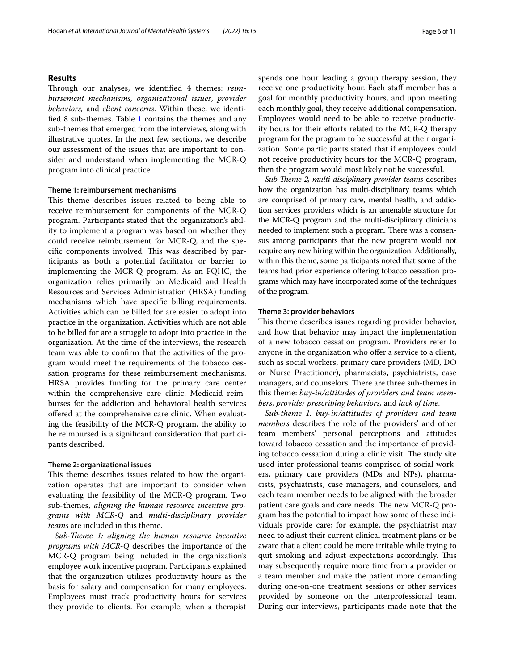# **Results**

Through our analyses, we identified 4 themes: *reimbursement mechanisms, organizational issues*, *provider behaviors,* and *client concerns*. Within these, we identifed 8 sub-themes. Table [1](#page-4-0) contains the themes and any sub-themes that emerged from the interviews, along with illustrative quotes. In the next few sections, we describe our assessment of the issues that are important to consider and understand when implementing the MCR-Q program into clinical practice.

# **Theme 1: reimbursement mechanisms**

This theme describes issues related to being able to receive reimbursement for components of the MCR-Q program. Participants stated that the organization's ability to implement a program was based on whether they could receive reimbursement for MCR-Q, and the specific components involved. This was described by participants as both a potential facilitator or barrier to implementing the MCR-Q program. As an FQHC, the organization relies primarily on Medicaid and Health Resources and Services Administration (HRSA) funding mechanisms which have specifc billing requirements. Activities which can be billed for are easier to adopt into practice in the organization. Activities which are not able to be billed for are a struggle to adopt into practice in the organization. At the time of the interviews, the research team was able to confrm that the activities of the program would meet the requirements of the tobacco cessation programs for these reimbursement mechanisms. HRSA provides funding for the primary care center within the comprehensive care clinic. Medicaid reimburses for the addiction and behavioral health services ofered at the comprehensive care clinic. When evaluating the feasibility of the MCR-Q program, the ability to be reimbursed is a signifcant consideration that participants described.

# **Theme 2: organizational issues**

This theme describes issues related to how the organization operates that are important to consider when evaluating the feasibility of the MCR-Q program. Two sub-themes, *aligning the human resource incentive programs with MCR-Q* and *multi-disciplinary provider teams* are included in this theme.

*Sub-Theme 1: aligning the human resource incentive programs with MCR-Q* describes the importance of the MCR-Q program being included in the organization's employee work incentive program. Participants explained that the organization utilizes productivity hours as the basis for salary and compensation for many employees. Employees must track productivity hours for services they provide to clients. For example, when a therapist spends one hour leading a group therapy session, they receive one productivity hour. Each staff member has a goal for monthly productivity hours, and upon meeting each monthly goal, they receive additional compensation. Employees would need to be able to receive productivity hours for their efforts related to the MCR-Q therapy program for the program to be successful at their organization. Some participants stated that if employees could not receive productivity hours for the MCR-Q program, then the program would most likely not be successful.

*Sub-Theme 2, multi-disciplinary provider teams describes* how the organization has multi-disciplinary teams which are comprised of primary care, mental health, and addiction services providers which is an amenable structure for the MCR-Q program and the multi-disciplinary clinicians needed to implement such a program. There was a consensus among participants that the new program would not require any new hiring within the organization. Additionally, within this theme, some participants noted that some of the teams had prior experience offering tobacco cessation programs which may have incorporated some of the techniques of the program.

#### **Theme 3: provider behaviors**

This theme describes issues regarding provider behavior, and how that behavior may impact the implementation of a new tobacco cessation program. Providers refer to anyone in the organization who offer a service to a client, such as social workers, primary care providers (MD, DO or Nurse Practitioner), pharmacists, psychiatrists, case managers, and counselors. There are three sub-themes in this theme: *buy-in/attitudes of providers and team members, provider prescribing behaviors,* and *lack of time*.

*Sub-theme 1: buy-in/attitudes of providers and team members* describes the role of the providers' and other team members' personal perceptions and attitudes toward tobacco cessation and the importance of providing tobacco cessation during a clinic visit. The study site used inter-professional teams comprised of social workers, primary care providers (MDs and NPs), pharmacists, psychiatrists, case managers, and counselors, and each team member needs to be aligned with the broader patient care goals and care needs. The new MCR-Q program has the potential to impact how some of these individuals provide care; for example, the psychiatrist may need to adjust their current clinical treatment plans or be aware that a client could be more irritable while trying to quit smoking and adjust expectations accordingly. This may subsequently require more time from a provider or a team member and make the patient more demanding during one-on-one treatment sessions or other services provided by someone on the interprofessional team. During our interviews, participants made note that the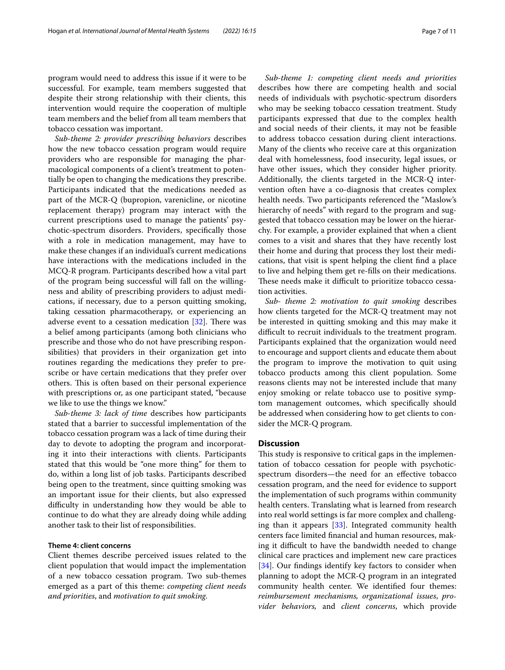program would need to address this issue if it were to be successful. For example, team members suggested that despite their strong relationship with their clients, this intervention would require the cooperation of multiple team members and the belief from all team members that tobacco cessation was important.

*Sub-theme 2: provider prescribing behaviors* describes how the new tobacco cessation program would require providers who are responsible for managing the pharmacological components of a client's treatment to potentially be open to changing the medications they prescribe. Participants indicated that the medications needed as part of the MCR-Q (bupropion, varenicline, or nicotine replacement therapy) program may interact with the current prescriptions used to manage the patients' psychotic-spectrum disorders. Providers, specifcally those with a role in medication management, may have to make these changes if an individual's current medications have interactions with the medications included in the MCQ-R program. Participants described how a vital part of the program being successful will fall on the willingness and ability of prescribing providers to adjust medications, if necessary, due to a person quitting smoking, taking cessation pharmacotherapy, or experiencing an adverse event to a cessation medication  $[32]$  $[32]$  $[32]$ . There was a belief among participants (among both clinicians who prescribe and those who do not have prescribing responsibilities) that providers in their organization get into routines regarding the medications they prefer to prescribe or have certain medications that they prefer over others. This is often based on their personal experience with prescriptions or, as one participant stated, "because we like to use the things we know."

*Sub-theme 3: lack of time* describes how participants stated that a barrier to successful implementation of the tobacco cessation program was a lack of time during their day to devote to adopting the program and incorporating it into their interactions with clients. Participants stated that this would be "one more thing" for them to do, within a long list of job tasks. Participants described being open to the treatment, since quitting smoking was an important issue for their clients, but also expressed difficulty in understanding how they would be able to continue to do what they are already doing while adding another task to their list of responsibilities.

# **Theme 4: client concerns**

Client themes describe perceived issues related to the client population that would impact the implementation of a new tobacco cessation program. Two sub-themes emerged as a part of this theme: *competing client needs and priorities*, and *motivation to quit smoking*.

*Sub-theme 1: competing client needs and priorities* describes how there are competing health and social needs of individuals with psychotic-spectrum disorders who may be seeking tobacco cessation treatment. Study participants expressed that due to the complex health and social needs of their clients, it may not be feasible to address tobacco cessation during client interactions. Many of the clients who receive care at this organization deal with homelessness, food insecurity, legal issues, or have other issues, which they consider higher priority. Additionally, the clients targeted in the MCR-Q intervention often have a co-diagnosis that creates complex health needs. Two participants referenced the "Maslow's hierarchy of needs" with regard to the program and suggested that tobacco cessation may be lower on the hierarchy. For example, a provider explained that when a client comes to a visit and shares that they have recently lost their home and during that process they lost their medications, that visit is spent helping the client fnd a place to live and helping them get re-flls on their medications. These needs make it difficult to prioritize tobacco cessation activities.

*Sub- theme 2: motivation to quit smoking* describes how clients targeted for the MCR-Q treatment may not be interested in quitting smoking and this may make it difficult to recruit individuals to the treatment program. Participants explained that the organization would need to encourage and support clients and educate them about the program to improve the motivation to quit using tobacco products among this client population. Some reasons clients may not be interested include that many enjoy smoking or relate tobacco use to positive symptom management outcomes, which specifcally should be addressed when considering how to get clients to consider the MCR-Q program.

# **Discussion**

This study is responsive to critical gaps in the implementation of tobacco cessation for people with psychoticspectrum disorders—the need for an efective tobacco cessation program, and the need for evidence to support the implementation of such programs within community health centers. Translating what is learned from research into real world settings is far more complex and challenging than it appears [[33\]](#page-9-29). Integrated community health centers face limited fnancial and human resources, making it difficult to have the bandwidth needed to change clinical care practices and implement new care practices [[34\]](#page-9-30). Our findings identify key factors to consider when planning to adopt the MCR-Q program in an integrated community health center. We identifed four themes: *reimbursement mechanisms, organizational issues*, *provider behaviors,* and *client concerns*, which provide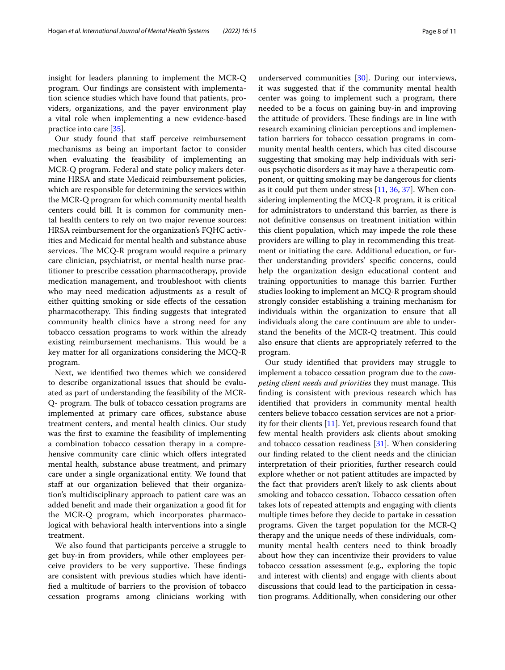insight for leaders planning to implement the MCR-Q program. Our fndings are consistent with implementation science studies which have found that patients, providers, organizations, and the payer environment play a vital role when implementing a new evidence-based practice into care [[35\]](#page-9-31).

Our study found that staff perceive reimbursement mechanisms as being an important factor to consider when evaluating the feasibility of implementing an MCR-Q program. Federal and state policy makers determine HRSA and state Medicaid reimbursement policies, which are responsible for determining the services within the MCR-Q program for which community mental health centers could bill. It is common for community mental health centers to rely on two major revenue sources: HRSA reimbursement for the organization's FQHC activities and Medicaid for mental health and substance abuse services. The MCQ-R program would require a primary care clinician, psychiatrist, or mental health nurse practitioner to prescribe cessation pharmacotherapy, provide medication management, and troubleshoot with clients who may need medication adjustments as a result of either quitting smoking or side efects of the cessation pharmacotherapy. This finding suggests that integrated community health clinics have a strong need for any tobacco cessation programs to work within the already existing reimbursement mechanisms. This would be a key matter for all organizations considering the MCQ-R program.

Next, we identifed two themes which we considered to describe organizational issues that should be evaluated as part of understanding the feasibility of the MCR-Q- program. The bulk of tobacco cessation programs are implemented at primary care offices, substance abuse treatment centers, and mental health clinics. Our study was the frst to examine the feasibility of implementing a combination tobacco cessation therapy in a comprehensive community care clinic which offers integrated mental health, substance abuse treatment, and primary care under a single organizational entity. We found that staff at our organization believed that their organization's multidisciplinary approach to patient care was an added beneft and made their organization a good ft for the MCR-Q program, which incorporates pharmacological with behavioral health interventions into a single treatment.

We also found that participants perceive a struggle to get buy-in from providers, while other employees perceive providers to be very supportive. These findings are consistent with previous studies which have identifed a multitude of barriers to the provision of tobacco cessation programs among clinicians working with underserved communities [\[30](#page-9-26)]. During our interviews, it was suggested that if the community mental health center was going to implement such a program, there needed to be a focus on gaining buy-in and improving the attitude of providers. These findings are in line with research examining clinician perceptions and implementation barriers for tobacco cessation programs in community mental health centers, which has cited discourse suggesting that smoking may help individuals with serious psychotic disorders as it may have a therapeutic component, or quitting smoking may be dangerous for clients as it could put them under stress [\[11,](#page-9-9) [36,](#page-9-32) [37](#page-10-0)]. When considering implementing the MCQ-R program, it is critical for administrators to understand this barrier, as there is not defnitive consensus on treatment initiation within this client population, which may impede the role these providers are willing to play in recommending this treatment or initiating the care. Additional education, or further understanding providers' specifc concerns, could help the organization design educational content and training opportunities to manage this barrier. Further studies looking to implement an MCQ-R program should strongly consider establishing a training mechanism for individuals within the organization to ensure that all individuals along the care continuum are able to understand the benefits of the MCR-Q treatment. This could also ensure that clients are appropriately referred to the program.

Our study identifed that providers may struggle to implement a tobacco cessation program due to the *competing client needs and priorities* they must manage. This fnding is consistent with previous research which has identifed that providers in community mental health centers believe tobacco cessation services are not a priority for their clients  $[11]$  $[11]$ . Yet, previous research found that few mental health providers ask clients about smoking and tobacco cessation readiness [[31\]](#page-9-27). When considering our fnding related to the client needs and the clinician interpretation of their priorities, further research could explore whether or not patient attitudes are impacted by the fact that providers aren't likely to ask clients about smoking and tobacco cessation. Tobacco cessation often takes lots of repeated attempts and engaging with clients multiple times before they decide to partake in cessation programs. Given the target population for the MCR-Q therapy and the unique needs of these individuals, community mental health centers need to think broadly about how they can incentivize their providers to value tobacco cessation assessment (e.g., exploring the topic and interest with clients) and engage with clients about discussions that could lead to the participation in cessation programs. Additionally, when considering our other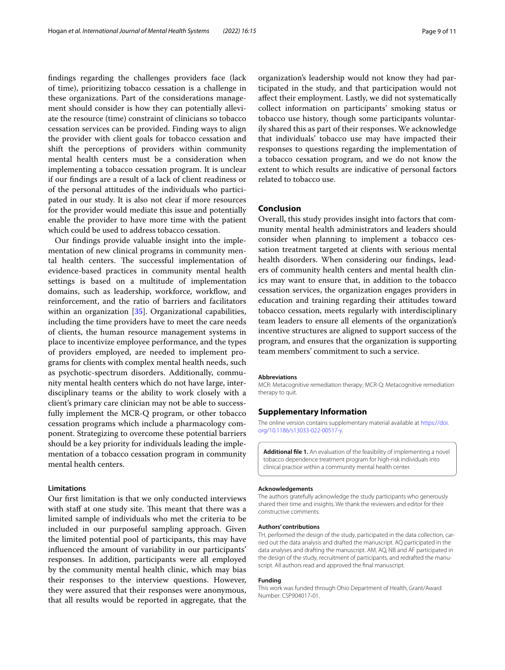fndings regarding the challenges providers face (lack of time), prioritizing tobacco cessation is a challenge in these organizations. Part of the considerations management should consider is how they can potentially alleviate the resource (time) constraint of clinicians so tobacco cessation services can be provided. Finding ways to align the provider with client goals for tobacco cessation and shift the perceptions of providers within community mental health centers must be a consideration when implementing a tobacco cessation program. It is unclear if our fndings are a result of a lack of client readiness or of the personal attitudes of the individuals who participated in our study. It is also not clear if more resources for the provider would mediate this issue and potentially enable the provider to have more time with the patient which could be used to address tobacco cessation.

Our fndings provide valuable insight into the implementation of new clinical programs in community mental health centers. The successful implementation of evidence-based practices in community mental health settings is based on a multitude of implementation domains, such as leadership, workforce, workflow, and reinforcement, and the ratio of barriers and facilitators within an organization [[35](#page-9-31)]. Organizational capabilities, including the time providers have to meet the care needs of clients, the human resource management systems in place to incentivize employee performance, and the types of providers employed, are needed to implement programs for clients with complex mental health needs, such as psychotic-spectrum disorders. Additionally, community mental health centers which do not have large, interdisciplinary teams or the ability to work closely with a client's primary care clinician may not be able to successfully implement the MCR-Q program, or other tobacco cessation programs which include a pharmacology component. Strategizing to overcome these potential barriers should be a key priority for individuals leading the implementation of a tobacco cessation program in community mental health centers.

# **Limitations**

Our frst limitation is that we only conducted interviews with staff at one study site. This meant that there was a limited sample of individuals who met the criteria to be included in our purposeful sampling approach. Given the limited potential pool of participants, this may have infuenced the amount of variability in our participants' responses. In addition, participants were all employed by the community mental health clinic, which may bias their responses to the interview questions. However, they were assured that their responses were anonymous, that all results would be reported in aggregate, that the

organization's leadership would not know they had participated in the study, and that participation would not afect their employment. Lastly, we did not systematically collect information on participants' smoking status or tobacco use history, though some participants voluntarily shared this as part of their responses. We acknowledge that individuals' tobacco use may have impacted their responses to questions regarding the implementation of a tobacco cessation program, and we do not know the extent to which results are indicative of personal factors related to tobacco use.

# **Conclusion**

Overall, this study provides insight into factors that community mental health administrators and leaders should consider when planning to implement a tobacco cessation treatment targeted at clients with serious mental health disorders. When considering our fndings, leaders of community health centers and mental health clinics may want to ensure that, in addition to the tobacco cessation services, the organization engages providers in education and training regarding their attitudes toward tobacco cessation, meets regularly with interdisciplinary team leaders to ensure all elements of the organization's incentive structures are aligned to support success of the program, and ensures that the organization is supporting team members' commitment to such a service.

## **Abbreviations**

MCR: Metacognitive remediation therapy; MCR-Q: Metacognitive remediation therapy to quit.

# **Supplementary Information**

The online version contains supplementary material available at [https://doi.](https://doi.org/10.1186/s13033-022-00517-y) [org/10.1186/s13033-022-00517-y.](https://doi.org/10.1186/s13033-022-00517-y)

<span id="page-8-0"></span>**Additional fle 1.** An evaluation of the feasibility of implementing a novel tobacco dependence treatment program for high-risk individuals into clinical practice within a community mental health center.

#### **Acknowledgements**

The authors gratefully acknowledge the study participants who generously shared their time and insights. We thank the reviewers and editor for their constructive comments.

#### **Authors' contributions**

TH, performed the design of the study, participated in the data collection, carried out the data analysis and drafted the manuscript. AQ participated in the data analyses and drafting the manuscript. AM, AQ, NB and AF participated in the design of the study, recruitment of participants, and redrafted the manuscript. All authors read and approved the fnal manuscript.

## **Funding**

This work was funded through Ohio Department of Health, Grant/Award Number: CSP904017‐01.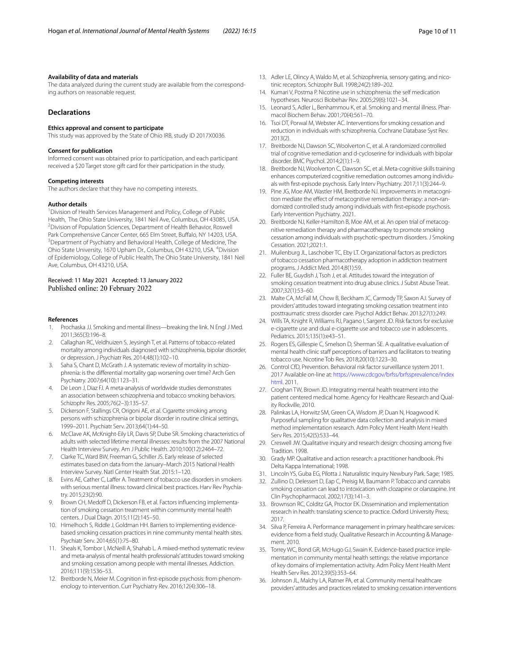### **Availability of data and materials**

The data analyzed during the current study are available from the corresponding authors on reasonable request.

# **Declarations**

#### **Ethics approval and consent to participate**

This study was approved by the State of Ohio IRB, study ID 2017X0036.

#### **Consent for publication**

Informed consent was obtained prior to participation, and each participant received a \$20 Target store gift card for their participation in the study.

#### **Competing interests**

The authors declare that they have no competing interests.

#### **Author details**

<sup>1</sup> Division of Health Services Management and Policy, College of Public Health, The Ohio State University, 1841 Neil Ave, Columbus, OH 43085, USA. <sup>2</sup> Division of Population Sciences, Department of Health Behavior, Roswell Park Comprehensive Cancer Center, 665 Elm Street, Buffalo, NY 14203, USA. <sup>3</sup> Department of Psychiatry and Behavioral Health, College of Medicine, The Ohio State University, 1670 Upham Dr., Columbus, OH 43210, USA. <sup>4</sup>Division of Epidemiology, College of Public Health, The Ohio State University, 1841 Neil Ave, Columbus, OH 43210, USA.

# Received: 11 May 2021 Accepted: 13 January 2022 Published online: 20 February 2022

#### **References**

- <span id="page-9-0"></span>1. Prochaska JJ. Smoking and mental illness—breaking the link. N Engl J Med. 2011;365(3):196–8.
- <span id="page-9-1"></span>2. Callaghan RC, Veldhuizen S, Jeysingh T, et al. Patterns of tobacco-related mortality among individuals diagnosed with schizophrenia, bipolar disorder, or depression. J Psychiatr Res. 2014;48(1):102–10.
- <span id="page-9-2"></span>3. Saha S, Chant D, McGrath J. A systematic review of mortality in schizophrenia: is the diferential mortality gap worsening over time? Arch Gen Psychiatry. 2007;64(10):1123–31.
- <span id="page-9-3"></span>4. De Leon J, Diaz FJ. A meta-analysis of worldwide studies demonstrates an association between schizophrenia and tobacco smoking behaviors. Schizophr Res. 2005;76(2–3):135–57.
- 5. Dickerson F, Stallings CR, Origoni AE, et al. Cigarette smoking among persons with schizophrenia or bipolar disorder in routine clinical settings, 1999–2011. Psychiatr Serv. 2013;64(1):44–50.
- <span id="page-9-4"></span>6. McClave AK, McKnight-Eily LR, Davis SP, Dube SR. Smoking characteristics of adults with selected lifetime mental illnesses: results from the 2007 National Health Interview Survey. Am J Public Health. 2010;100(12):2464–72.
- <span id="page-9-5"></span>7. Clarke TC, Ward BW, Freeman G, Schiller JS. Early release of selected estimates based on data from the January–March 2015 National Health Interview Survey. Natl Center Health Stat*.* 2015:1–120.
- <span id="page-9-6"></span>8. Evins AE, Cather C, Laffer A. Treatment of tobacco use disorders in smokers with serious mental illness: toward clinical best practices. Harv Rev Psychiatry. 2015;23(2):90.
- <span id="page-9-7"></span>9. Brown CH, Medoff D, Dickerson FB, et al. Factors influencing implementation of smoking cessation treatment within community mental health centers. J Dual Diagn. 2015;11(2):145–50.
- <span id="page-9-8"></span>10. Himelhoch S, Riddle J, Goldman HH. Barriers to implementing evidencebased smoking cessation practices in nine community mental health sites. Psychiatr Serv. 2014;65(1):75–80.
- <span id="page-9-9"></span>11. Sheals K, Tombor I, McNeill A, Shahab L. A mixed-method systematic review and meta-analysis of mental health professionals' attitudes toward smoking and smoking cessation among people with mental illnesses. Addiction. 2016;111(9):1536–53.
- <span id="page-9-10"></span>12. Breitborde N, Meier M. Cognition in frst-episode psychosis: from phenomenology to intervention. Curr Psychiatry Rev. 2016;12(4):306–18.
- <span id="page-9-11"></span>13. Adler LE, Olincy A, Waldo M, et al. Schizophrenia, sensory gating, and nicotinic receptors. Schizophr Bull. 1998;24(2):189–202.
- 14. Kumari V, Postma P. Nicotine use in schizophrenia: the self medication hypotheses. Neurosci Biobehav Rev. 2005;29(6):1021–34.
- <span id="page-9-12"></span>15. Leonard S, Adler L, Benhammou K, et al. Smoking and mental illness. Pharmacol Biochem Behav. 2001;70(4):561–70.
- <span id="page-9-13"></span>16. Tsoi DT, Porwal M, Webster AC. Interventions for smoking cessation and reduction in individuals with schizophrenia. Cochrane Database Syst Rev*.* 2013(2).
- <span id="page-9-14"></span>17. Breitborde NJ, Dawson SC, Woolverton C, et al. A randomized controlled trial of cognitive remediation and d-cycloserine for individuals with bipolar disorder. BMC Psychol. 2014;2(1):1–9.
- <span id="page-9-15"></span>18. Breitborde NJ, Woolverton C, Dawson SC, et al. Meta-cognitive skills training enhances computerized cognitive remediation outcomes among individuals with frst-episode psychosis. Early Interv Psychiatry. 2017;11(3):244–9.
- <span id="page-9-16"></span>19. Pine JG, Moe AM, Wastler HM, Breitborde NJ. Improvements in metacognition mediate the effect of metacognitive remediation therapy: a non-randomized controlled study among individuals with first-episode psychosis. Early Intervention Psychiatry*.* 2021.
- <span id="page-9-17"></span>20. Breitborde NJ, Keller-Hamilton B, Moe AM, et al. An open trial of metacognitive remediation therapy and pharmacotherapy to promote smoking cessation among individuals with psychotic-spectrum disorders. J Smoking Cessation. 2021;2021:1.
- <span id="page-9-18"></span>21. Muilenburg JL, Laschober TC, Eby LT. Organizational factors as predictors of tobacco cessation pharmacotherapy adoption in addiction treatment programs. J Addict Med. 2014;8(1):59.
- <span id="page-9-23"></span>22. Fuller BE, Guydish J, Tsoh J, et al. Attitudes toward the integration of smoking cessation treatment into drug abuse clinics. J Subst Abuse Treat. 2007;32(1):53–60.
- <span id="page-9-20"></span>23. Malte CA, McFall M, Chow B, Beckham JC, Carmody TP, Saxon AJ. Survey of providers' attitudes toward integrating smoking cessation treatment into posttraumatic stress disorder care. Psychol Addict Behav. 2013;27(1):249.
- 24. Wills TA, Knight R, Williams RJ, Pagano I, Sargent JD. Risk factors for exclusive e-cigarette use and dual e-cigarette use and tobacco use in adolescents. Pediatrics. 2015;135(1):e43–51.
- <span id="page-9-19"></span>25. Rogers ES, Gillespie C, Smelson D, Sherman SE. A qualitative evaluation of mental health clinic staff perceptions of barriers and facilitators to treating tobacco use. Nicotine Tob Res. 2018;20(10):1223–30.
- <span id="page-9-21"></span>26. Control CfD, Prevention. Behavioral risk factor surveillance system 2011. 2017 Available on-line at: [https://www.cdcgov/brfss/brfssprevalence/index](https://www.cdcgov/brfss/brfssprevalence/indexhtml) [html](https://www.cdcgov/brfss/brfssprevalence/indexhtml). 2011.
- <span id="page-9-22"></span>27. Croghan TW, Brown JD. Integrating mental health treatment into the patient centered medical home. Agency for Healthcare Research and Quality Rockville, 2010.
- <span id="page-9-24"></span>28. Palinkas LA, Horwitz SM, Green CA, Wisdom JP, Duan N, Hoagwood K. Purposeful sampling for qualitative data collection and analysis in mixed method implementation research. Adm Policy Ment Health Ment Health Serv Res. 2015;42(5):533–44.
- <span id="page-9-25"></span>29. Creswell JW. Qualitative inquiry and research design: choosing among fve Tradition. 1998.
- <span id="page-9-26"></span>30. Grady MP. Qualitative and action research: a practitioner handbook. Phi Delta Kappa International; 1998.
- <span id="page-9-27"></span>31. Lincoln YS, Guba EG, Pilotta J. Naturalistic inquiry Newbury Park. Sage; 1985.
- <span id="page-9-28"></span>32. Zullino D, Delessert D, Eap C, Preisig M, Baumann P. Tobacco and cannabis smoking cessation can lead to intoxication with clozapine or olanzapine. Int Clin Psychopharmacol. 2002;17(3):141–3.
- <span id="page-9-29"></span>33. Brownson RC, Colditz GA, Proctor EK. Dissemination and implementation research in health: translating science to practice. Oxford University Press; 2017.
- <span id="page-9-30"></span>34. Silva P, Ferreira A. Performance management in primary healthcare services: evidence from a feld study. Qualitative Research in Accounting & Management. 2010.
- <span id="page-9-31"></span>35. Torrey WC, Bond GR, McHugo GJ, Swain K. Evidence-based practice implementation in community mental health settings: the relative importance of key domains of implementation activity. Adm Policy Ment Health Ment Health Serv Res. 2012;39(5):353–64.
- <span id="page-9-32"></span>36. Johnson JL, Malchy LA, Ratner PA, et al. Community mental healthcare providers' attitudes and practices related to smoking cessation interventions